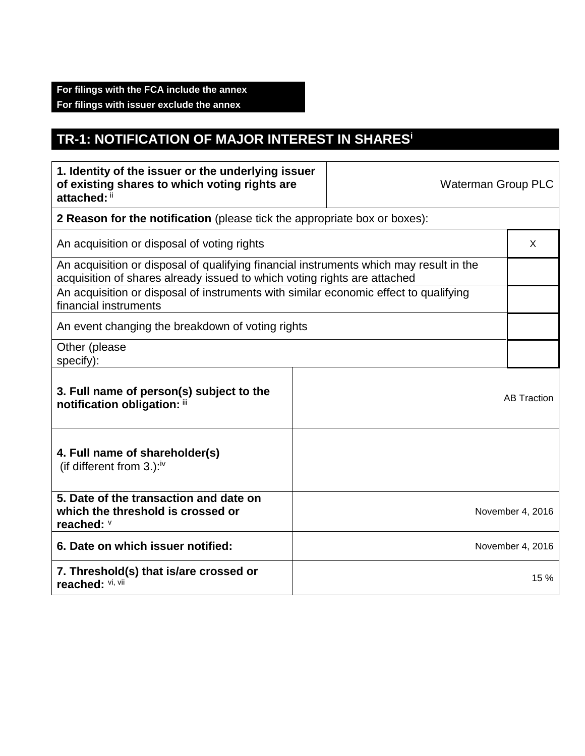## **TR-1: NOTIFICATION OF MAJOR INTEREST IN SHARES<sup>i</sup>**

| 1. Identity of the issuer or the underlying issuer<br>of existing shares to which voting rights are<br>attached: ii                                                |  | <b>Waterman Group PLC</b> |                    |  |
|--------------------------------------------------------------------------------------------------------------------------------------------------------------------|--|---------------------------|--------------------|--|
| 2 Reason for the notification (please tick the appropriate box or boxes):                                                                                          |  |                           |                    |  |
| An acquisition or disposal of voting rights                                                                                                                        |  |                           | X                  |  |
| An acquisition or disposal of qualifying financial instruments which may result in the<br>acquisition of shares already issued to which voting rights are attached |  |                           |                    |  |
| An acquisition or disposal of instruments with similar economic effect to qualifying<br>financial instruments                                                      |  |                           |                    |  |
| An event changing the breakdown of voting rights                                                                                                                   |  |                           |                    |  |
| Other (please<br>specify):                                                                                                                                         |  |                           |                    |  |
| 3. Full name of person(s) subject to the<br>notification obligation: iii                                                                                           |  |                           | <b>AB Traction</b> |  |
| 4. Full name of shareholder(s)<br>(if different from 3.): $iv$                                                                                                     |  |                           |                    |  |
| 5. Date of the transaction and date on<br>which the threshold is crossed or<br>reached: V                                                                          |  |                           | November 4, 2016   |  |
| 6. Date on which issuer notified:                                                                                                                                  |  |                           | November 4, 2016   |  |
| 7. Threshold(s) that is/are crossed or<br>reached: Vi, Vii                                                                                                         |  |                           | 15 %               |  |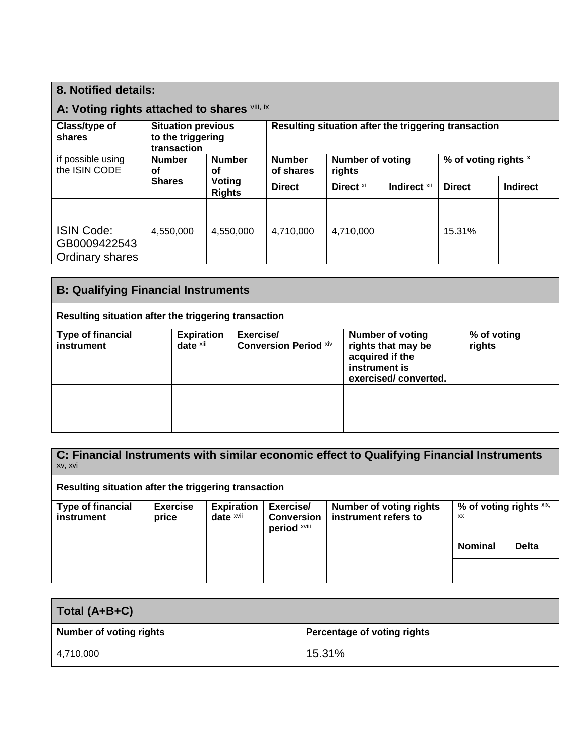| 8. Notified details:                                                                     |               |                                                      |                            |                            |              |                      |                 |
|------------------------------------------------------------------------------------------|---------------|------------------------------------------------------|----------------------------|----------------------------|--------------|----------------------|-----------------|
| A: Voting rights attached to shares Vill, ix                                             |               |                                                      |                            |                            |              |                      |                 |
| Class/type of<br><b>Situation previous</b><br>to the triggering<br>shares<br>transaction |               | Resulting situation after the triggering transaction |                            |                            |              |                      |                 |
| if possible using<br>the ISIN CODE<br>οf                                                 | <b>Number</b> | <b>Number</b><br>οf<br>Voting<br><b>Rights</b>       | <b>Number</b><br>of shares | Number of voting<br>rights |              | % of voting rights × |                 |
|                                                                                          | <b>Shares</b> |                                                      | <b>Direct</b>              | Direct <sup>xi</sup>       | Indirect Xii | <b>Direct</b>        | <b>Indirect</b> |
| <b>ISIN Code:</b><br>GB0009422543<br>Ordinary shares                                     | 4,550,000     | 4.550.000                                            | 4,710,000                  | 4.710.000                  |              | 15.31%               |                 |

| <b>B: Qualifying Financial Instruments</b> |                                                      |                                                                                                           |                       |  |  |  |  |
|--------------------------------------------|------------------------------------------------------|-----------------------------------------------------------------------------------------------------------|-----------------------|--|--|--|--|
|                                            | Resulting situation after the triggering transaction |                                                                                                           |                       |  |  |  |  |
| <b>Type of financial</b><br>instrument     | <b>Expiration</b><br>date xiii                       | <b>Number of voting</b><br>rights that may be<br>acquired if the<br>instrument is<br>exercised/converted. | % of voting<br>rights |  |  |  |  |
|                                            |                                                      |                                                                                                           |                       |  |  |  |  |

**C: Financial Instruments with similar economic effect to Qualifying Financial Instruments** xv, xvi

**Resulting situation after the triggering transaction**

| <b>Type of financial</b><br>instrument | Exercise<br>price | <b>Expiration</b><br>date $x$ vii | Exercise/<br><b>Conversion</b><br>period xviii | <b>Number of voting rights</b><br>instrument refers to | % of voting rights $x$ ix,<br>XX |              |
|----------------------------------------|-------------------|-----------------------------------|------------------------------------------------|--------------------------------------------------------|----------------------------------|--------------|
|                                        |                   |                                   |                                                |                                                        | <b>Nominal</b>                   | <b>Delta</b> |
|                                        |                   |                                   |                                                |                                                        |                                  |              |

| Total (A+B+C)                  |                             |  |  |  |
|--------------------------------|-----------------------------|--|--|--|
| <b>Number of voting rights</b> | Percentage of voting rights |  |  |  |
| 4,710,000                      | 15.31%                      |  |  |  |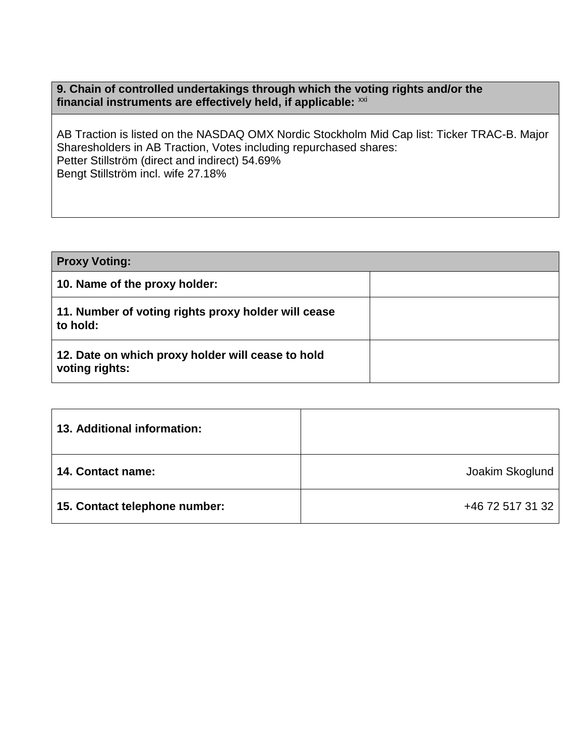## **9. Chain of controlled undertakings through which the voting rights and/or the** financial instruments are effectively held, if applicable: xxi

AB Traction is listed on the NASDAQ OMX Nordic Stockholm Mid Cap list: Ticker TRAC-B. Major Sharesholders in AB Traction, Votes including repurchased shares: Petter Stillström (direct and indirect) 54.69% Bengt Stillström incl. wife 27.18%

| <b>Proxy Voting:</b>                                                |  |
|---------------------------------------------------------------------|--|
| 10. Name of the proxy holder:                                       |  |
| 11. Number of voting rights proxy holder will cease<br>to hold:     |  |
| 12. Date on which proxy holder will cease to hold<br>voting rights: |  |

| 13. Additional information:   |                  |
|-------------------------------|------------------|
| <b>14. Contact name:</b>      | Joakim Skoglund  |
| 15. Contact telephone number: | +46 72 517 31 32 |